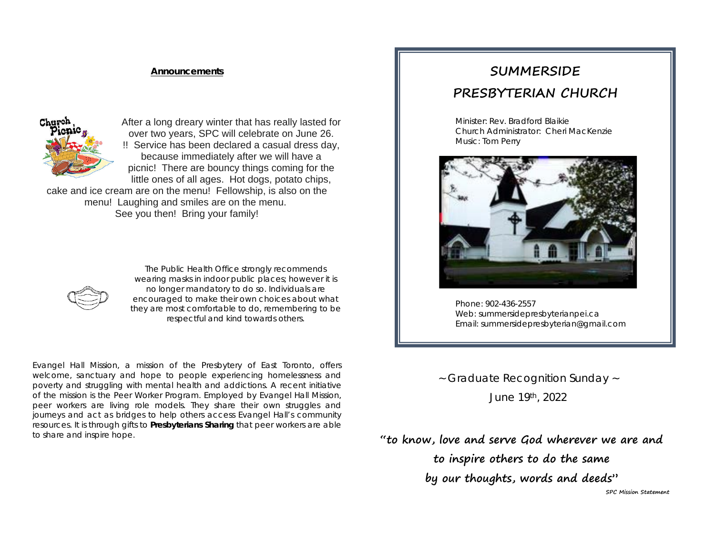### **Announcements**



After a long dreary winter that has really lasted for over two years, SPC will celebrate on June 26. !! Service has been declared a casual dress day, because immediately after we will have a picnic! There are bouncy things coming for the little ones of all ages. Hot dogs, potato chips,

cake and ice cream are on the menu! Fellowship, is also on the menu! Laughing and smiles are on the menu. See you then! Bring your family!



*The Public Health Office strongly recommends wearing masks in indoor public places; however it is no longer mandatory to do so. Individuals are encouraged to make their own choices about what they are most comfortable to do, remembering to be respectful and kind towards others.*

Evangel Hall Mission, a mission of the Presbytery of East Toronto, offers welcome, sanctuary and hope to people experiencing homelessness and poverty and struggling with mental health and addictions. A recent initiative of the mission is the Peer Worker Program. Employed by Evangel Hall Mission, peer workers are living role models. They share their own struggles and journeys and act as bridges to help others access Evangel Hall's community resources. It is through gifts to *Presbyterians Sharing* that peer workers are able to share and inspire hope.

# **SUMMERSIDE PRESBYTERIAN CHURCH**

Minister: Rev. Bradford Blaikie Church Administrator: Cheri MacKenzie Music: Tom Perry



Phone: 902-436-2557 Web: summersidepresbyterianpei.ca Email: summersidepresbyterian@gmail.com

~ Graduate Recognition Sunday ~ June 19th, 2022

**"to know, love and serve God wherever we are and to inspire others to do the same by our thoughts, words and deeds"**

**SPC Mission Statement**

j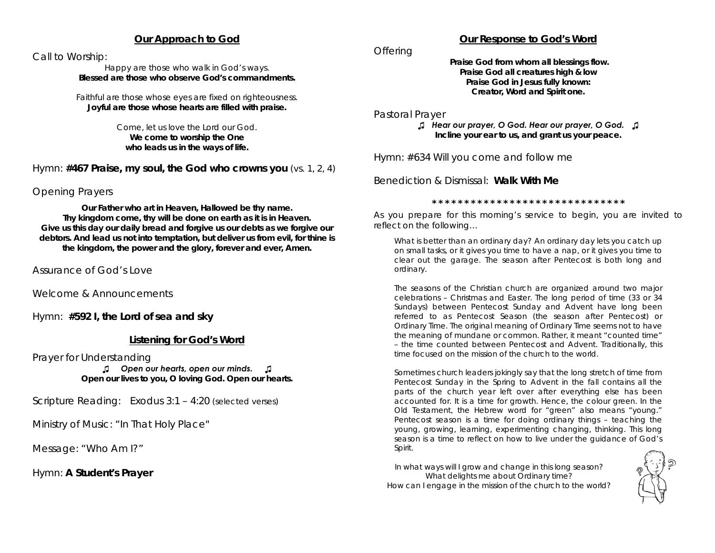## **Our Approach to God**

Call to Worship:

Happy are those who walk in God's ways. **Blessed are those who observe God's commandments.**

Faithful are those whose eyes are fixed on righteousness. **Joyful are those whose hearts are filled with praise.**

> Come, let us love the Lord our God. **We come to worship the One who leads us in the ways of life.**

Hymn: **#467 Praise, my soul, the God who crowns you** *(vs. 1, 2, 4)*

Opening Prayers

*Our Father who art in Heaven, Hallowed be thy name. Thy kingdom come, thy will be done on earth as it is in Heaven. Give us this day our daily bread and forgive us our debts as we forgive our debtors. And lead us not into temptation, but deliver us from evil, for thine is the kingdom, the power and the glory, forever and ever, Amen.*

Assurance of God's Love

Welcome & Announcements

Hymn: **#592 I, the Lord of sea and sky**

## **Listening for God's Word**

Prayer for Understanding

*♫ Open our hearts, open our minds. ♫ Open our lives to you, O loving God. Open our hearts.*

Scripture Reading: Exodus 3:1 – 4:20 *(selected verses)*

Ministry of Music: *"In That Holy Place"*

Message: *"Who Am I?"*

Hymn: **A Student's Prayer**

# **Our Response to God's Word**

**Offering** 

*Praise God from whom all blessings flow. Praise God all creatures high & low Praise God in Jesus fully known: Creator, Word and Spirit one.*

Pastoral Prayer

*♫ Hear our prayer, O God. Hear our prayer, O God. ♫ Incline your ear to us, and grant us your peace.*

Hymn: #634 Will you come and follow me

Benediction & Dismissal: **Walk With Me**

**\* \* \* \* \* \* \* \* \* \* \* \* \* \* \* \* \* \* \* \* \* \* \* \* \* \* \* \* \* \***

As you prepare for this morning's service to begin, you are invited to reflect on the following…

What is better than an ordinary day? An ordinary day lets you catch up on small tasks, or it gives you time to have a nap, or it gives you time to clear out the garage. The season after Pentecost is both long and ordinary.

The seasons of the Christian church are organized around two major celebrations – Christmas and Easter. The long period of time (33 or 34 Sundays) between Pentecost Sunday and Advent have long been referred to as Pentecost Season (the season after Pentecost) or Ordinary Time. The original meaning of Ordinary Time seems not to have the meaning of mundane or common. Rather, it meant "counted time" – the time counted between Pentecost and Advent. Traditionally, this time focused on the mission of the church to the world.

Sometimes church leaders jokingly say that the long stretch of time from Pentecost Sunday in the Spring to Advent in the fall contains all the parts of the church year left over after everything else has been accounted for. It is a time for growth. Hence, the colour green. In the Old Testament, the Hebrew word for "green" also means "young." Pentecost season is a time for doing ordinary things – teaching the young, growing, learning, experimenting changing, thinking. This long season is a time to reflect on how to live under the guidance of God's Spirit.

*In what ways will I grow and change in this long season? What delights me about Ordinary time? How can I engage in the mission of the church to the world?*

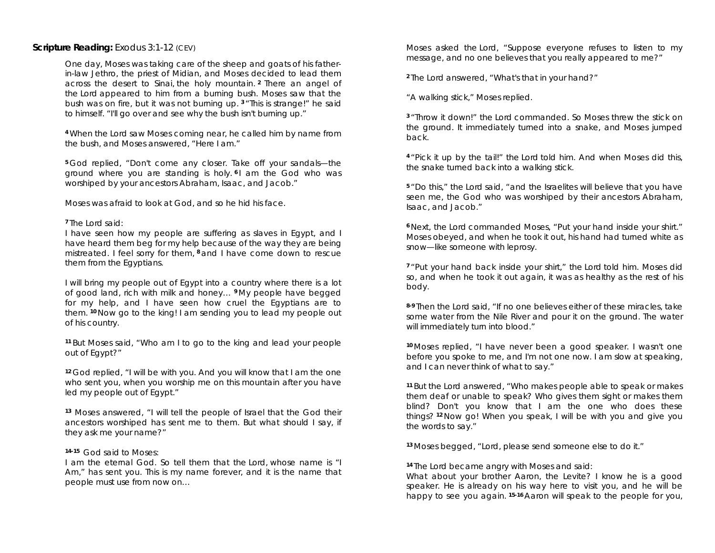### **Scripture Reading:** Exodus 3:1-12 (CEV)

One day, Moses was taking care of the sheep and goats of his fatherin-law Jethro, the priest of Midian, and Moses decided to lead them across the desert to Sinai, the holy mountain. **<sup>2</sup>** There an angel of the Lord appeared to him from a burning bush. Moses saw that the bush was on fire, but it was not burning up. **<sup>3</sup>** "This is strange!" he said to himself. "I'll go over and see why the bush isn't burning up."

**<sup>4</sup>** When the Lord saw Moses coming near, he called him by name from the bush, and Moses answered, "Here I am."

**<sup>5</sup>** God replied, "Don't come any closer. Take off your sandals—the ground where you are standing is holy. **<sup>6</sup>** I am the God who was worshiped by your ancestors Abraham, Isaac, and Jacob."

Moses was afraid to look at God, and so he hid his face.

### **<sup>7</sup>** The Lord said:

I have seen how my people are suffering as slaves in Egypt, and I have heard them beg for my help because of the way they are being mistreated. I feel sorry for them, **<sup>8</sup>** and I have come down to rescue them from the Egyptians.

I will bring my people out of Egypt into a country where there is a lot of good land, rich with milk and honey… **<sup>9</sup>** My people have begged for my help, and I have seen how cruel the Egyptians are to them. **<sup>10</sup>** Now go to the king! I am sending you to lead my people out of his country.

**<sup>11</sup>** But Moses said, "Who am I to go to the king and lead your people out of Egypt?"

**<sup>12</sup>** God replied, "I will be with you. And you will know that I am the one who sent you, when you worship me on this mountain after you have led my people out of Egypt."

**<sup>13</sup>** Moses answered, "I will tell the people of Israel that the God their ancestors worshiped has sent me to them. But what should I say, if they ask me your name?"

#### **14-15** God said to Moses:

I am the eternal God. So tell them that the Lord, whose name is "I Am," has sent you. This is my name forever, and it is the name that people must use from now on…

Moses asked the Lord, "Suppose everyone refuses to listen to my message, and no one believes that you really appeared to me?"

**<sup>2</sup>** The Lord answered, "What's that in your hand?"

"A walking stick," Moses replied.

**<sup>3</sup>** "Throw it down!" the Lord commanded. So Moses threw the stick on the ground. It immediately turned into a snake, and Moses jumped back.

**<sup>4</sup>** "Pick it up by the tail!" the Lord told him. And when Moses did this, the snake turned back into a walking stick.

**<sup>5</sup>** "Do this," the Lord said, "and the Israelites will believe that you have seen me, the God who was worshiped by their ancestors Abraham, Isaac, and Jacob."

**<sup>6</sup>** Next, the Lord commanded Moses, "Put your hand inside your shirt." Moses obeyed, and when he took it out, his hand had turned white as snow—like someone with leprosy.

**<sup>7</sup>** "Put your hand back inside your shirt," the Lord told him. Moses did so, and when he took it out again, it was as healthy as the rest of his body.

**8-9** Then the Lord said, "If no one believes either of these miracles, take some water from the Nile River and pour it on the ground. The water will immediately turn into blood."

**<sup>10</sup>** Moses replied, "I have never been a good speaker. I wasn't one before you spoke to me, and I'm not one now. I am slow at speaking, and I can never think of what to say."

**<sup>11</sup>** But the Lord answered, "Who makes people able to speak or makes them deaf or unable to speak? Who gives them sight or makes them blind? Don't you know that I am the one who does these things? **<sup>12</sup>** Now go! When you speak, I will be with you and give you the words to say."

**<sup>13</sup>** Moses begged, "Lord, please send someone else to do it."

**<sup>14</sup>** The Lord became angry with Moses and said:

What about your brother Aaron, the Levite? I know he is a good speaker. He is already on his way here to visit you, and he will be happy to see you again. **15-16** Aaron will speak to the people for you,